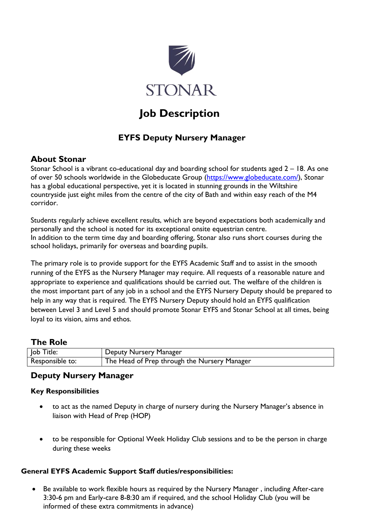

# **Job Description**

# **EYFS Deputy Nursery Manager**

## **About Stonar**

Stonar School is a vibrant co-educational day and boarding school for students aged 2 – 18. As one of over 50 schools worldwide in the Globeducate Group [\(https://www.globeducate.com/\)](https://www.globeducate.com/), Stonar has a global educational perspective, yet it is located in stunning grounds in the Wiltshire countryside just eight miles from the centre of the city of Bath and within easy reach of the M4 corridor.

Students regularly achieve excellent results, which are beyond expectations both academically and personally and the school is noted for its exceptional onsite equestrian centre. In addition to the term time day and boarding offering, Stonar also runs short courses during the school holidays, primarily for overseas and boarding pupils.

The primary role is to provide support for the EYFS Academic Staff and to assist in the smooth running of the EYFS as the Nursery Manager may require. All requests of a reasonable nature and appropriate to experience and qualifications should be carried out. The welfare of the children is the most important part of any job in a school and the EYFS Nursery Deputy should be prepared to help in any way that is required. The EYFS Nursery Deputy should hold an EYFS qualification between Level 3 and Level 5 and should promote Stonar EYFS and Stonar School at all times, being loyal to its vision, aims and ethos.

### **The Role**

| Job Title:      | Deputy Nursery Manager                       |
|-----------------|----------------------------------------------|
| Responsible to: | The Head of Prep through the Nursery Manager |

### **Deputy Nursery Manager**

#### **Key Responsibilities**

- to act as the named Deputy in charge of nursery during the Nursery Manager's absence in liaison with Head of Prep (HOP)
- to be responsible for Optional Week Holiday Club sessions and to be the person in charge during these weeks

#### **General EYFS Academic Support Staff duties/responsibilities:**

 Be available to work flexible hours as required by the Nursery Manager , including After-care 3:30-6 pm and Early-care 8-8:30 am if required, and the school Holiday Club (you will be informed of these extra commitments in advance)